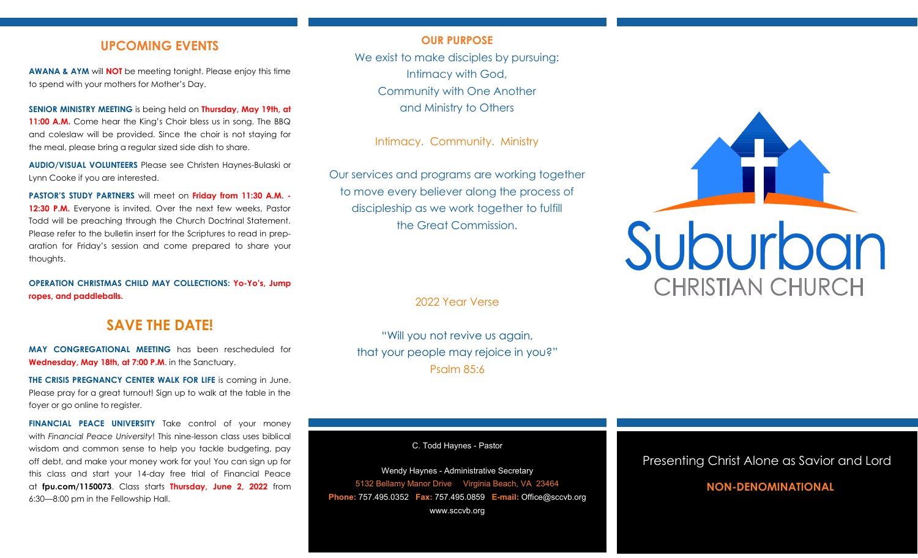## **UPCOMING EVENTS**

**AWANA & AYM** will **NOT** be meeting tonight. Please enjoy this time to spend with your mothers for Mother's Day.

**SENIOR MINISTRY MEETING** is being held on **Thursday, May 19th, at 11:00 A.M.** Come hear the King's Choir bless us in song. The BBQ and coleslaw will be provided. Since the choir is not staying for the meal, please bring a regular sized side dish to share.

**AUDIO/VISUAL VOLUNTEERS** Please see Christen Haynes-Bulaski or Lynn Cooke if you are interested.

**PASTOR'S STUDY PARTNERS** will meet on **Friday from 11:30 A.M. - 12:30 P.M.** Everyone is invited. Over the next few weeks, Pastor Todd will be preaching through the Church Doctrinal Statement. Please refer to the bulletin insert for the Scriptures to read in preparation for Friday's session and come prepared to share your thoughts.

**OPERATION CHRISTMAS CHILD MAY COLLECTIONS: Yo-Yo's, Jump ropes, and paddleballs.**

# **SAVE THE DATE!**

**MAY CONGREGATIONAL MEETING** has been rescheduled for **Wednesday, May 18th, at 7:00 P.M**. in the Sanctuary.

**THE CRISIS PREGNANCY CENTER WALK FOR LIFE** is coming in June. Please pray for a great turnout! Sign up to walk at the table in the foyer or go online to register.

**FINANCIAL PEACE UNIVERSITY** Take control of your money with *Financial Peace University*! This nine-lesson class uses biblical wisdom and common sense to help you tackle budgeting, pay off debt, and make your money work for you! You can sign up for this class and start your 14-day free trial of Financial Peace at **fpu.com/1150073**. Class starts **Thursday, June 2, 2022** from 6:30—8:00 pm in the Fellowship Hall.

## **OUR PURPOSE**

We exist to make disciples by pursuing: Intimacy with God, Community with One Another and Ministry to Others

Intimacy. Community. Ministry

Our services and programs are working together to move every believer along the process of discipleship as we work together to fulfill the Great Commission.

2022 Year Verse

"Will you not revive us again, that your people may rejoice in you?" Psalm 85:6

C. Todd Haynes - Pastor

Wendy Haynes - Administrative Secretary 5132 Bellamy Manor Drive Virginia Beach, VA 23464 **Phone:** 757.495.0352 **Fax:** 757.495.0859 **E-mail:** Office@sccvb.org www.sccvb.org



## Presenting Christ Alone as Savior and Lord

# **NON-DENOMINATIONAL**